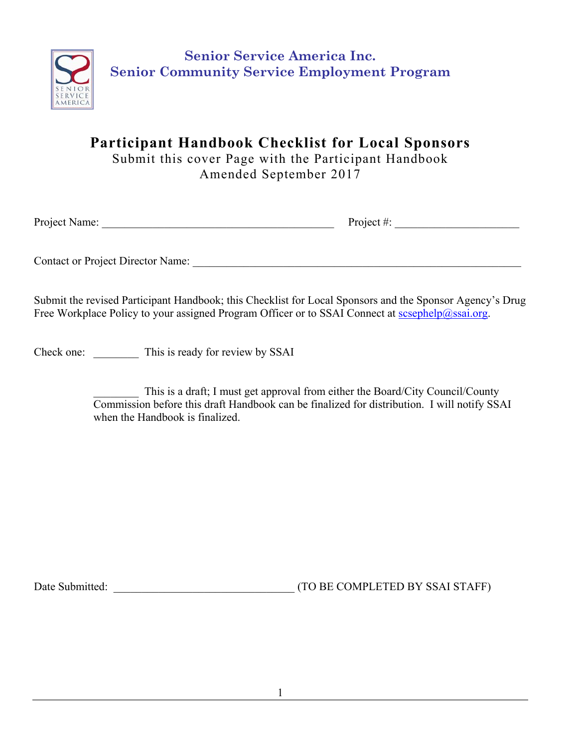

**Participant Handbook Checklist for Local Sponsors** 

Submit this cover Page with the Participant Handbook Amended September 2017

Project Name: Project #:

Contact or Project Director Name: \_\_\_\_\_\_\_\_\_\_\_\_\_\_\_\_\_\_\_\_\_\_\_\_\_\_\_\_\_\_\_\_\_\_\_\_\_\_\_\_\_\_\_\_\_\_\_\_\_\_\_\_\_\_\_\_\_\_

Submit the revised Participant Handbook; this Checklist for Local Sponsors and the Sponsor Agency's Drug Free Workplace Policy to your assigned Program Officer or to SSAI Connect at scsephelp@ssai.org.

Check one: This is ready for review by SSAI

This is a draft; I must get approval from either the Board/City Council/County Commission before this draft Handbook can be finalized for distribution. I will notify SSAI when the Handbook is finalized.

Date Submitted: <br>  $(TO BE COMPLETED BY SSAI STATE)$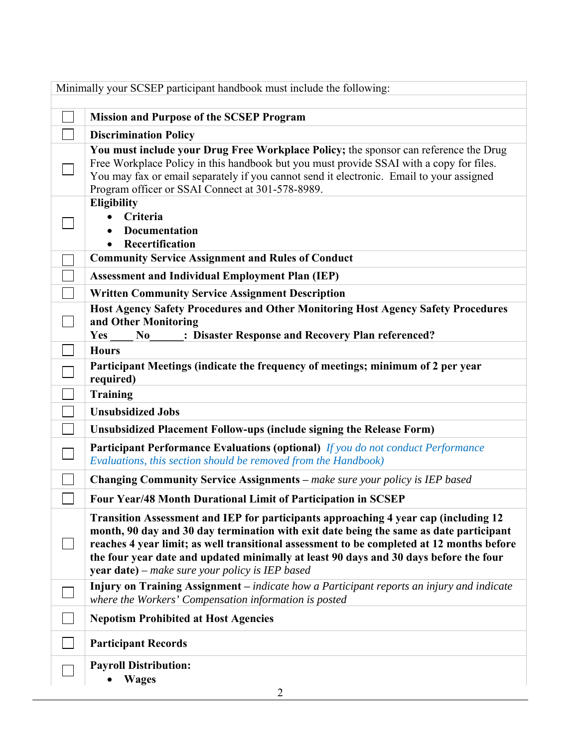| Minimally your SCSEP participant handbook must include the following: |                                                                                                                                                                                                                                                                                                                                                                                                                               |  |
|-----------------------------------------------------------------------|-------------------------------------------------------------------------------------------------------------------------------------------------------------------------------------------------------------------------------------------------------------------------------------------------------------------------------------------------------------------------------------------------------------------------------|--|
|                                                                       | <b>Mission and Purpose of the SCSEP Program</b>                                                                                                                                                                                                                                                                                                                                                                               |  |
|                                                                       | <b>Discrimination Policy</b>                                                                                                                                                                                                                                                                                                                                                                                                  |  |
|                                                                       | You must include your Drug Free Workplace Policy; the sponsor can reference the Drug<br>Free Workplace Policy in this handbook but you must provide SSAI with a copy for files.<br>You may fax or email separately if you cannot send it electronic. Email to your assigned<br>Program officer or SSAI Connect at 301-578-8989.                                                                                               |  |
|                                                                       | <b>Eligibility</b><br>Criteria<br><b>Documentation</b><br>Recertification                                                                                                                                                                                                                                                                                                                                                     |  |
|                                                                       | <b>Community Service Assignment and Rules of Conduct</b>                                                                                                                                                                                                                                                                                                                                                                      |  |
|                                                                       | <b>Assessment and Individual Employment Plan (IEP)</b>                                                                                                                                                                                                                                                                                                                                                                        |  |
|                                                                       | <b>Written Community Service Assignment Description</b>                                                                                                                                                                                                                                                                                                                                                                       |  |
|                                                                       | Host Agency Safety Procedures and Other Monitoring Host Agency Safety Procedures<br>and Other Monitoring<br>: Disaster Response and Recovery Plan referenced?<br>Yes<br>No                                                                                                                                                                                                                                                    |  |
|                                                                       | <b>Hours</b>                                                                                                                                                                                                                                                                                                                                                                                                                  |  |
|                                                                       | Participant Meetings (indicate the frequency of meetings; minimum of 2 per year<br>required)                                                                                                                                                                                                                                                                                                                                  |  |
|                                                                       | <b>Training</b>                                                                                                                                                                                                                                                                                                                                                                                                               |  |
|                                                                       | <b>Unsubsidized Jobs</b>                                                                                                                                                                                                                                                                                                                                                                                                      |  |
|                                                                       | Unsubsidized Placement Follow-ups (include signing the Release Form)                                                                                                                                                                                                                                                                                                                                                          |  |
|                                                                       | <b>Participant Performance Evaluations (optional)</b> If you do not conduct Performance<br>Evaluations, this section should be removed from the Handbook)                                                                                                                                                                                                                                                                     |  |
|                                                                       | <b>Changing Community Service Assignments</b> – make sure your policy is IEP based                                                                                                                                                                                                                                                                                                                                            |  |
|                                                                       | Four Year/48 Month Durational Limit of Participation in SCSEP                                                                                                                                                                                                                                                                                                                                                                 |  |
|                                                                       | Transition Assessment and IEP for participants approaching 4 year cap (including 12<br>month, 90 day and 30 day termination with exit date being the same as date participant<br>reaches 4 year limit; as well transitional assessment to be completed at 12 months before<br>the four year date and updated minimally at least 90 days and 30 days before the four<br><b>year date)</b> – make sure your policy is IEP based |  |
|                                                                       | Injury on Training Assignment – indicate how a Participant reports an injury and indicate<br>where the Workers' Compensation information is posted                                                                                                                                                                                                                                                                            |  |
|                                                                       | <b>Nepotism Prohibited at Host Agencies</b>                                                                                                                                                                                                                                                                                                                                                                                   |  |
|                                                                       | <b>Participant Records</b>                                                                                                                                                                                                                                                                                                                                                                                                    |  |
|                                                                       | <b>Payroll Distribution:</b><br><b>Wages</b><br>2                                                                                                                                                                                                                                                                                                                                                                             |  |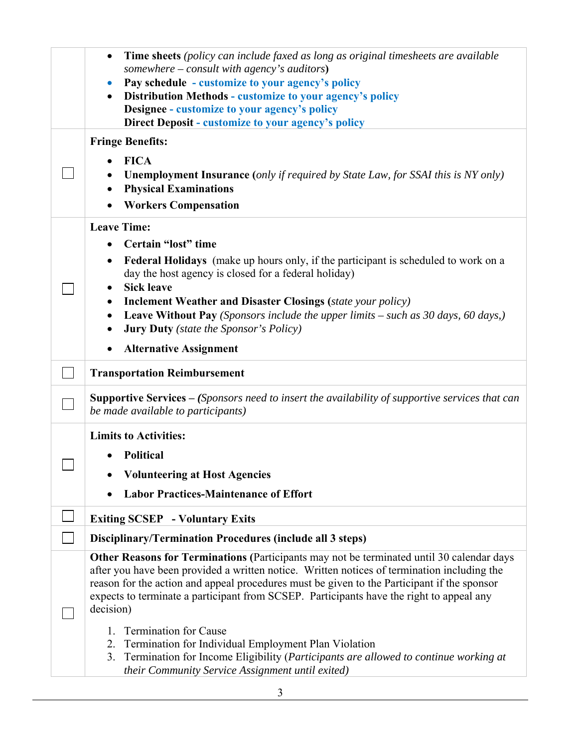|  | Time sheets (policy can include faxed as long as original timesheets are available<br>somewhere – consult with agency's auditors)              |  |  |
|--|------------------------------------------------------------------------------------------------------------------------------------------------|--|--|
|  | Pay schedule - customize to your agency's policy                                                                                               |  |  |
|  | <b>Distribution Methods - customize to your agency's policy</b>                                                                                |  |  |
|  | Designee - customize to your agency's policy                                                                                                   |  |  |
|  | <b>Direct Deposit - customize to your agency's policy</b>                                                                                      |  |  |
|  | <b>Fringe Benefits:</b>                                                                                                                        |  |  |
|  | <b>FICA</b>                                                                                                                                    |  |  |
|  | <b>Unemployment Insurance</b> (only if required by State Law, for SSAI this is NY only)                                                        |  |  |
|  | <b>Physical Examinations</b>                                                                                                                   |  |  |
|  | <b>Workers Compensation</b>                                                                                                                    |  |  |
|  | <b>Leave Time:</b>                                                                                                                             |  |  |
|  | Certain "lost" time                                                                                                                            |  |  |
|  | <b>Federal Holidays</b> (make up hours only, if the participant is scheduled to work on a                                                      |  |  |
|  | day the host agency is closed for a federal holiday)<br><b>Sick leave</b>                                                                      |  |  |
|  | <b>Inclement Weather and Disaster Closings (state your policy)</b>                                                                             |  |  |
|  | <b>Leave Without Pay</b> (Sponsors include the upper limits – such as 30 days, 60 days,)<br>$\bullet$                                          |  |  |
|  | <b>Jury Duty</b> (state the Sponsor's Policy)                                                                                                  |  |  |
|  |                                                                                                                                                |  |  |
|  | <b>Alternative Assignment</b>                                                                                                                  |  |  |
|  | <b>Transportation Reimbursement</b>                                                                                                            |  |  |
|  | <b>Supportive Services</b> $-$ (Sponsors need to insert the availability of supportive services that can<br>be made available to participants) |  |  |
|  | <b>Limits to Activities:</b>                                                                                                                   |  |  |
|  | <b>Political</b>                                                                                                                               |  |  |
|  |                                                                                                                                                |  |  |
|  | <b>Volunteering at Host Agencies</b>                                                                                                           |  |  |
|  | <b>Labor Practices-Maintenance of Effort</b>                                                                                                   |  |  |
|  | <b>Exiting SCSEP</b> - Voluntary Exits                                                                                                         |  |  |
|  | Disciplinary/Termination Procedures (include all 3 steps)                                                                                      |  |  |
|  | Other Reasons for Terminations (Participants may not be terminated until 30 calendar days                                                      |  |  |
|  | after you have been provided a written notice. Written notices of termination including the                                                    |  |  |
|  | reason for the action and appeal procedures must be given to the Participant if the sponsor                                                    |  |  |
|  | expects to terminate a participant from SCSEP. Participants have the right to appeal any                                                       |  |  |
|  | decision)                                                                                                                                      |  |  |
|  | <b>Termination for Cause</b><br>1.                                                                                                             |  |  |
|  | Termination for Individual Employment Plan Violation<br>2.                                                                                     |  |  |
|  | Termination for Income Eligibility (Participants are allowed to continue working at<br>3.                                                      |  |  |
|  | their Community Service Assignment until exited)                                                                                               |  |  |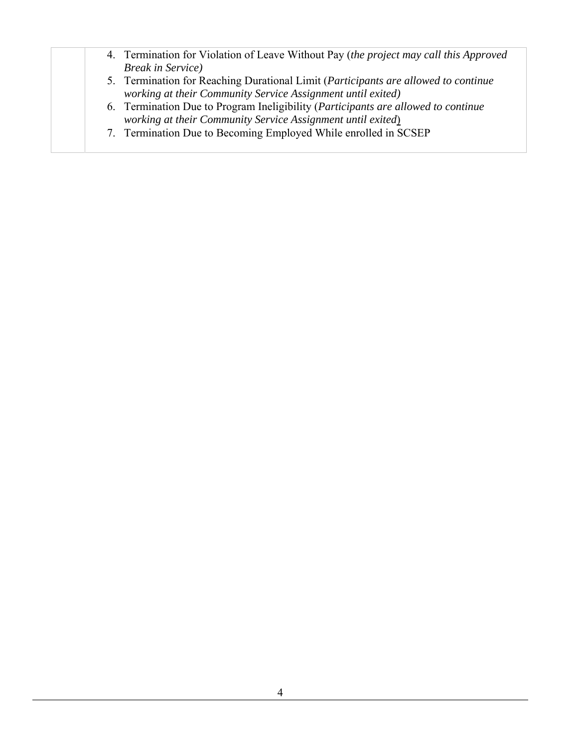| 4. Termination for Violation of Leave Without Pay (the project may call this Approved     |
|-------------------------------------------------------------------------------------------|
| <b>Break in Service</b> )                                                                 |
| 5. Termination for Reaching Durational Limit (Participants are allowed to continue        |
| working at their Community Service Assignment until exited)                               |
| 6. Termination Due to Program Ineligibility ( <i>Participants are allowed to continue</i> |
| working at their Community Service Assignment until exited)                               |
| 7. Termination Due to Becoming Employed While enrolled in SCSEP                           |
|                                                                                           |
|                                                                                           |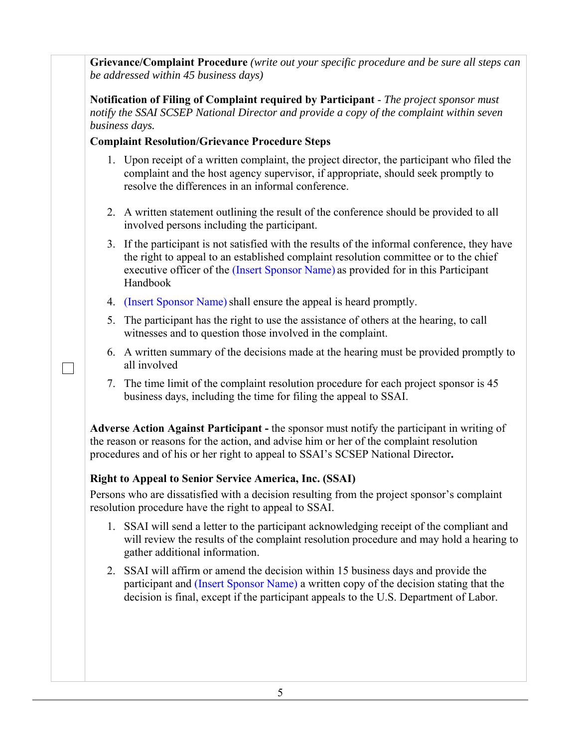**Grievance/Complaint Procedure** *(write out your specific procedure and be sure all steps can be addressed within 45 business days)* 

**Notification of Filing of Complaint required by Participant** - *The project sponsor must notify the SSAI SCSEP National Director and provide a copy of the complaint within seven business days.* 

## **Complaint Resolution/Grievance Procedure Steps**

- 1. Upon receipt of a written complaint, the project director, the participant who filed the complaint and the host agency supervisor, if appropriate, should seek promptly to resolve the differences in an informal conference.
- 2. A written statement outlining the result of the conference should be provided to all involved persons including the participant.
- 3. If the participant is not satisfied with the results of the informal conference, they have the right to appeal to an established complaint resolution committee or to the chief executive officer of the (Insert Sponsor Name) as provided for in this Participant Handbook
- 4. (Insert Sponsor Name) shall ensure the appeal is heard promptly.
- 5. The participant has the right to use the assistance of others at the hearing, to call witnesses and to question those involved in the complaint.
- 6. A written summary of the decisions made at the hearing must be provided promptly to all involved
- 7. The time limit of the complaint resolution procedure for each project sponsor is 45 business days, including the time for filing the appeal to SSAI.

**Adverse Action Against Participant -** the sponsor must notify the participant in writing of the reason or reasons for the action, and advise him or her of the complaint resolution procedures and of his or her right to appeal to SSAI's SCSEP National Director**.** 

# **Right to Appeal to Senior Service America, Inc. (SSAI)**

 $\Box$ 

Persons who are dissatisfied with a decision resulting from the project sponsor's complaint resolution procedure have the right to appeal to SSAI.

- 1. SSAI will send a letter to the participant acknowledging receipt of the compliant and will review the results of the complaint resolution procedure and may hold a hearing to gather additional information.
- 2. SSAI will affirm or amend the decision within 15 business days and provide the participant and (Insert Sponsor Name) a written copy of the decision stating that the decision is final, except if the participant appeals to the U.S. Department of Labor.